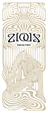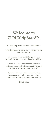# Welcome to ZIOUX *by Marble.*

We are all prisoners of our own minds.

To think free means to let go of your mind and be mindful.

To roam free means to let go of your prejudices and let in pure beauty and love.

To run free is to escape from narrowminded people, eliminate negativity and to choose innocence and the truth.

To break free is to trust your instinct, because we are all creatures roving this earth to find purpose and freedom.

Break Free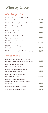## Wine by Glass

## *Sparkling Wines*

| NV MCC, Graham Beck, Bliss Nectar,                  |                  |
|-----------------------------------------------------|------------------|
| Demi-Sec, Robertson                                 | <b>R120</b>      |
| NV MCC, Genevieve, Brut Rosé, Bot River             | <b>R125</b>      |
| NV MCC, Colmant, Brut Reserve,<br>Franschhoek       | <b>R125</b>      |
| 2017 MCC, Graham Beck,<br>Cuvée Clive, Robertson    | R <sub>295</sub> |
| NV Perrier-Jouët, Grand Brut,<br>Épernay, Champagne | <b>R365</b>      |
| NV G.H. Mumm, Olympe Rosé,<br>Reims, Champagne      | <b>R400</b>      |
| 2009 Lanson, Le Vintage,<br>Reims, Champagne        | <b>R545</b>      |
| NV Prosecco, Giusti, Rosalia, Veneto, Italy         | <b>R105</b>      |

#### *White Wines*

| <b>R115</b>      |
|------------------|
| <b>R145</b>      |
| R <sub>275</sub> |
| <b>R200</b>      |
|                  |
| <b>R350</b>      |
| <b>R155</b>      |
| <b>R175</b>      |
|                  |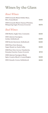## Wines by the Glass

#### *Rosé Wines*

| 2020 Grenache Blend, Holden Manz,<br>Hiro, Franschhoek                          | <b>R165</b> |
|---------------------------------------------------------------------------------|-------------|
| 2020 Grenache Blend, Chateau D'Esclans,<br>Whispering Angel, Provence (Coravin) | <b>R275</b> |
| <b>Red Wines</b>                                                                |             |
| 2016 Merlot, Eagles Nest, Constantia                                            | <b>R150</b> |
| 2015 Cabernet Sauvignon,<br>Jordan, Stellenbosch                                | <b>R190</b> |
| 2016 Syrah, Keermont, Stellenbosch                                              | <b>R190</b> |
| 2020 Pinot Noir, Bosman,<br>Upper Hemel-en-Aarde Valley                         | <b>R150</b> |
| 2018 Pinot Noir, Gevrey-Chambertin,<br>Domaine Fourrier, France (Coravin)       | <b>R715</b> |
| 2018 Cabernet Sauvignon Blend,<br>Spier, Creative Block 5, Coastal Region       | <b>R150</b> |
| 2021 Cinsault, Craven, Stellenbosch                                             | <b>R150</b> |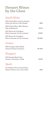## Dessert Wines by the Glass

#### *South Africa*

| 2017 Chenin Blanc, Newton Johnson,<br>Noble Late Harvest, L'illa, Eilanda | <b>R85</b>   |
|---------------------------------------------------------------------------|--------------|
| 2020 Chenin Blanc, Miles Mossop,<br>Kika, Stellenbosch                    | <b>R145</b>  |
| 2017 Muscat de Frontignan,<br>Klein Constantia, Vin de Constance          | <b>R400</b>  |
| 1997 Muscat de Frontignan,<br>Klein Constantia, Vin de Constance          | <b>R1550</b> |
| France                                                                    |              |
| 1997 Sauvignon Blanc Blend,<br>Chateau d'Yquem, Sauternes                 | <b>R1250</b> |
| <b>Hungary</b>                                                            |              |
| 2013 Furmint Blend, Aszú,<br>Oremus, 5 Puttonyos, Tokaji                  | R465         |
| Spain                                                                     |              |
| NV Palamino Fino, Gonzales Byass,<br>Alfonzo Oloroso, Seco, Jerez-Xérès   | <b>R85</b>   |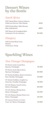## Dessert Wines by the Bottle

#### *South Africa*

| 2017 Chenin Blanc, Newton Johnson,                     |              |
|--------------------------------------------------------|--------------|
| Noble Late Harvest, L'illa, Eilanda                    | <b>R510</b>  |
| 2020 Chenin Blanc, Miles Mossop,<br>Kika, Stellenbosch | <b>R870</b>  |
| 2017 Muscat de Frontignan Klein                        |              |
| Constantia. Vin de Constance                           | <b>R3200</b> |

#### *Hungary*

2013 Furmint Blend, Aszú, Oremus, 5 Puttonyos, Tokaji **R3 720** 

## Sparkling Wines

#### *Non-Vintage Champagne*

| NV Perrier-Jouët, Grand Brut,<br>Épernay, Champagne                    | <b>R1950</b>       |
|------------------------------------------------------------------------|--------------------|
| NV Perrier-Jouët, Blason Rosé,<br>Épernay, Champagne                   | <b>R2500</b>       |
| NV Nicolas Feuillatte, Reserve Exclusive,<br>Brut, Chouilly, Champagne | <b>R1800</b>       |
| NV Nicolas Feuillatte, Graphic Ice,<br>Demi-Sec, Chouilly, Champagne   | <b>R1950</b>       |
| NV G.H. Mumm, Grand Cordon,<br>Reims, Champagne                        | <b>R2000</b>       |
| NV G.H. Mumm, Olympe Rosé,<br>Reims, Champagne                         | R <sub>2</sub> 350 |
| NV G.H. Mumm, Olympe (Demi-sec),<br>Reims, Champagne                   | R <sub>2</sub> 350 |
| NV Laurent-Perrier, La Cuvée,<br>Tours-sur-Marne, Champagne            | <b>R1850</b>       |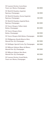| NV Laurent-Perrier, Cuvée Rosé,<br>Tours-sur-Marne, Champagne      | R <sub>2</sub> 850 |
|--------------------------------------------------------------------|--------------------|
| NV Moët & Chandon, Impérial,<br>Épernay, Champagne                 | <b>R1950</b>       |
| NV Moët & Chandon, Nectar Impérial,<br>Épernay, Champagne          | <b>R2100</b>       |
| NV Moët & Chandon, Impérial Rosé,<br>Épernay, Champagne            | R <sub>2</sub> 200 |
| NV Veuve Clicquot, Yellow Label,<br>Reims, Champagne               | R <sub>2</sub> 200 |
| NV Veuve Clicquot, Rosé,<br>Reims, Champagne                       | R <sub>2550</sub>  |
| NV Veuve Clicquot, Rich Reims, Champagne                           | <b>R2850</b>       |
| NV Philipponat, Royale Réserve Brut,<br>Mareuil-Sur-Aÿ, Champagne  | <b>R2500</b>       |
| NV Bollinger, Special Cuvée, Äy, Champagne                         | <b>R2500</b>       |
| NV Billecart-Salmon, Blanc de Blancs,<br>Mareuil-Sur-Aÿ, Champagne | <b>R3200</b>       |
| NV Billecart-Salmon, Brut Rosé,<br>Mareuil-Sur-Aÿ, Champagne       | <b>R3200</b>       |
| NV Laurent-Perrier, Grand Siècle,<br>Tours-sur-Marne, Champagne    | <b>R6500</b>       |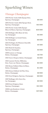## Sparkling Wines

### *Vintage Champagne*

| 2013 Perrier-Jouët, Belle Ëpoque Brut,<br>Épernay, Champagne            | <b>R6500</b>       |
|-------------------------------------------------------------------------|--------------------|
| 2004 Perrier-Jouët, Belle Ëpoque Rosé,<br>Épernay, Champagne            | <b>R11000</b>      |
| 2012 Perrier-Jouët, Belle Ëpoque<br>Blanc de Blancs, Épernay, Champagne | <b>R35000</b>      |
| 2013 Bollinger, B13, Blanc de Noir,<br>Ay, Champagne                    | <b>R5500</b>       |
| 2012 Bollinger, La Grand Annee,<br>Ay, Champagne                        | <b>R6000</b>       |
| 2012 Pol Roger, Sir Winston Churchill,<br>Épernay, Champagne            | <b>R7500</b>       |
| 2012 Moët & Chandon,<br>Épernay, Champagne                              | <b>R2950</b>       |
| 2009 Lanson, Le Vintage,<br>Reims, Champagne                            | R <sub>2</sub> 750 |
| 2012 Veuve Clicquot, Reims, Champagne                                   | <b>R2850</b>       |
| 2012 Laurent-Perrier, Millesime,<br>Brut, Tours-sur-Marne, Champagne    | <b>R2500</b>       |
| 2012 Bruno Paillard, Blanc de Blanc,<br>Reims, Champagne                | <b>R4500</b>       |
| 2004 Bruno Paillard, Nel Plus Ultra,<br>Reims, Champagne                | <b>R9950</b>       |
| 2012 Dom Pérignon, Épernay, Champagne                                   | <b>R8000</b>       |
| 2007 Bollinger, R.D, Extra Dry,<br>Ay, Champagne                        | <b>R9500</b>       |
| 2006 Dom Pérignon, Rosé,<br>Épernay, Champagne                          | <b>R11500</b>      |
| 2008 Louis Roederer, Cristal,<br>Reims, Champagne                       | <b>R17000</b>      |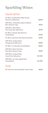# Sparkling Wines

#### *South Africa*

| NV MCC, Graham Beck, Bliss Nectar,<br>Demi-Sec, Robertson   | <b>R600</b>        |
|-------------------------------------------------------------|--------------------|
| 2015 MCC, L'Ormarins, Blanc de Blancs<br>Brut, Western Cape | <b>R675</b>        |
| 2019 MCC, Silverthorn,<br>The Green Man, Robertson          | <b>R725</b>        |
| NV MCC, Colmant, Brut Reserve,<br>Franschhoek               | <b>R700</b>        |
| NV MCC, Genevieve, Brut Rosé, Bot River                     | <b>R750</b>        |
| 2017 MCC, Graham Beck,<br>Vintage Rosé, Robertson           | <b>R850</b>        |
| NV MCC, Le Lude, Brut, Franschhoek                          | <b>R950</b>        |
| 2013 MCC, Pieter Ferreira,<br>Brut Rosé, Western Cape       | <b>R970</b>        |
| 2017 MCC, Graham Beck,<br>Cuvée Clive, Robertson            | R <sub>2</sub> 350 |
| 2012 MCC, Le Lude, Agrafe Rosé,<br>Franschhoek              | <b>R3500</b>       |
|                                                             |                    |

#### *Italy*

NV Prosecco, Giusti, Rosalia, Veneto, Italy **R630**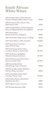# South African White Wines

| 2021 Sauvignon Blanc, Harry Hartman,<br>Summer, Sauvignon Blanc, Western Cape       | <b>R460</b>   |
|-------------------------------------------------------------------------------------|---------------|
| 2020 Sauvignon Blanc, Ghost Corner,<br>Wild Ferment, Elim                           | <b>R750</b>   |
| 2020 Sauvignon Blanc, Trizanne Signature<br>Wines, Sondagskloof White, Sondagskloof | <b>R1100</b>  |
| 2019 Chenin Blanc,<br>Opstal Carl Everson, Slanghoek                                | <b>R620</b>   |
| 2017 Chenin Blanc, Rijks, Reserve, Tulbagh                                          | <b>R765</b>   |
| 2020 Chenin Blanc, Luddite, Bot River                                               | <b>R1650</b>  |
| 2021 Chardonnay, Crystallum,<br>Agnes, Western Cape                                 | <b>R800</b>   |
| 2019 Chardonnay, Restless River,<br>Ava Marie', Hemel-en-Aarde Valley               | <b>R1100</b>  |
| 2017 Chardonnay, Springfield,<br>Méthode Ancienne, Robertson                        | <b>R1 250</b> |
| 2020 Chardonnay, Hamilton Russel,<br>Hemel-en-Aarde Valley                          | <b>R1550</b>  |
| 2018 Chenin Blanc Blend,<br>Miles Mossop, Saskia, Swartland                         | <b>R850</b>   |
| 2020 Chenin Blanc Blend, Mullineux,<br>Old Vines White, Swartland                   | <b>R950</b>   |
| 2020 Chenin Blanc Blend, Alheit,<br>Cartology, Western Cape                         | <b>R1050</b>  |
| 2018 Semillon Blend, Gabrielskloof<br>Magdalena, Bot River                          | <b>R895</b>   |
| 2020 Viognier, Lismore, Greyton                                                     | <b>R620</b>   |
| 2017 Riesling, Spioenkop, Elgin                                                     | <b>R700</b>   |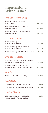# International White Wines

#### *France - Burgundy*

| 2018 Chardonnay, Meursault,                          |                   |
|------------------------------------------------------|-------------------|
| Henri Germain                                        | R <sub>2480</sub> |
| 2017 Chardonnay, 1er Cru Blagny,<br>Domaine Faiveley | <b>R3950</b>      |
| 2018 Chardonnay, Puligny-Montrachet,                 |                   |
| Domaine LeFlaive                                     | <b>R6000</b>      |

#### *France - Chablis*

| 2018 Chardonnay, Village,                 |                    |
|-------------------------------------------|--------------------|
| Domaine William Fevre                     | <b>R1300</b>       |
| 2018 Chardonnay, 1er Cru Montmains,       |                    |
| Domaine William Fevre                     | R <sub>2</sub> 350 |
| 2018 Chardonnay, Tête d'Or, Billaud-Simon | <b>R1550</b>       |

#### *France - Rhône*

| 2020 Grenache Blanc Blend, M.Chapoutier, |              |
|------------------------------------------|--------------|
| Bellaruche, Côtes-du-Rhône               | <b>R600</b>  |
| 2018 Marsanne, M.Chapoutier, Les         |              |
| Meysonniers, Crozes-Hermitage, France    | <b>R1400</b> |
|                                          |              |

#### *Spain*

| 2019 Viura Blend, Valenciso, Rioja |  |  | <b>R1250</b> |
|------------------------------------|--|--|--------------|
|                                    |  |  |              |

#### *Germany*

| 2019 Riesling, Dr. Loosen, Dry, Mösel      | <b>R550</b>  |
|--------------------------------------------|--------------|
| 2018 Riesling, Dr.Loosen, Red Slate, Mösel | <b>R1100</b> |

#### *United States*

| 2018 Riesling, Château Ste. Michelle, | <b>R850</b> |
|---------------------------------------|-------------|
| Columbia Valley, Washington State     |             |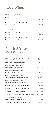## Rosé Wines

#### *South Africa*

| 2018 Merlot, Normandie, Karen,<br>Franschhoek                         | <b>R550</b>   |
|-----------------------------------------------------------------------|---------------|
| 2020 Grenache Blend, Holden Manz.<br>Hiro, Franschhoek                | <b>R660</b>   |
| France                                                                |               |
| 2020 Grenache Blend, Mirabeau,<br>Pure, Provence                      | <b>R750</b>   |
| 2020 Grenache Blend, Chateau D'Esclans,<br>Whispering Angel, Provence | <b>R1 100</b> |

# South African Red Wines

| 2016 Merlot, Eagles Nest, Constantia                          | <b>R600</b>        |
|---------------------------------------------------------------|--------------------|
| 2017 Merlot, Almenkerk, Elgin                                 | <b>R790</b>        |
| 2018 Merlot, Holden Manz,<br>Reserve Merlot, Franschhoek      | <b>R1600</b>       |
| 2015 Cabernet Sauvignon,<br>Jordan, Stellenbosch              | <b>R760</b>        |
| 2015 Cabernet Sauvignon,<br>Vergelegen, Reserve, Stellenbosch | <b>R1250</b>       |
| 2015 Cabernet Sauvignon,<br>Boekenhoutskloof, Stellenbosch    | <b>R1450</b>       |
| 2016 Syrah, Keermont, Stellenbosch                            | <b>R760</b>        |
| 2012 Shiraz, Thelema, Stellenbosch                            | <b>R1450</b>       |
| 2010 Shiraz, Luddite, Bot River                               | R <sub>2</sub> 200 |
| 2015 Shiraz, Saxenburg, Select, Stellenbosch                  | <b>R3500</b>       |
| 2020 Pinot Noir, Bosman,<br>Upper Hemel-en-Aarde Valley       | <b>R600</b>        |
| 2019 Pinot Noir, Iona, Highlands, Elgin                       | <b>R875</b>        |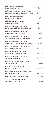| 2018 Pinot Noir, Shannon,<br>Rockview Ridge, Elgin                                | <b>R900</b>        |
|-----------------------------------------------------------------------------------|--------------------|
| 2021 Pinot Noir, Hasher Family Wines,<br>Pinot Noir, Upper Hemel-en-Aaarde Valley | <b>R1400</b>       |
| 2019 Pinotage, Beaumont,<br>Jackals River, Bot River                              | <b>R700</b>        |
| 2014 Cabernet Franc, Raats,<br>Family, Stellenbosch                               | <b>R2500</b>       |
| 2018 Cabernet Sauvignon Blend,<br>Spier, Creative Block 5, Coastal Region         | <b>R600</b>        |
| 2017 Cabernet Sauvignon Blend,<br>Normandie, Anno, Franschhoek                    | <b>R650</b>        |
| 2015 Cabernet Sauvignon Blend,<br>Glenelly, Estate Reserve, Stellenbosch          | <b>R850</b>        |
| 2015 Cabernet Sauvignon Blend,<br>Normandie, Eisen & Viljoen, Franschhoek         | <b>R1850</b>       |
| 2015 Cabernet Sauvignon Blend, Keet,<br>First Verse, Stellenbosch                 | <b>R1900</b>       |
| 2010 Cabernet Sauvignon Blend,<br>Glenelly, Lady May, Stellenbosch                | <b>R2000</b>       |
| 2018 Cabernet Sauvignon Blend,<br>Vilafonte, Series C, Paarl                      | <b>R6750</b>       |
| 2018 Merlot Blend, Constantia Glen,<br>Three, Constantia                          | <b>R825</b>        |
| 2019 Merlot Blend, Vilafonté,<br>Series M, Stellenbosch                           | R <sub>2</sub> 750 |
| 2017 Syrah Blend, Sadie Family Wines,<br>Columella, Swartland                     | <b>R2500</b>       |
| 2021 Cinsault, Craven, Stellenbosch                                               | <b>R600</b>        |
| 2020 Cinsault, AA Badenhorst,<br>Ramnasgras, Swartland                            | <b>R795</b>        |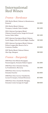# International Red Wines

#### *France - Bordeaux*

| 2011 Merlot Blend, Château La Renaissance,<br>Pomerol                                             | <b>R1800</b>       |
|---------------------------------------------------------------------------------------------------|--------------------|
| 2014 Merlot Blend, Château<br>Tronquoy-Lalande, Saint-Estèphe                                     | R <sub>2</sub> 450 |
| 2014 Cabernet Sauvignon Blend,<br>Château Gruaud Larose, Sarget de Gruaud<br>Larose, Saint-Julien | R <sub>2</sub> 450 |
| 2017 Cabernet Sauvignon Blend, Château<br>Lynch-Bages, Echo de Lynch Bages, Pauillac              | <b>R3100</b>       |
| 2015 Cabernet Sauvignon Blend, Château<br>Pichon Longueville, Reserve De La<br>Comtesse, Pauillac | <b>R3800</b>       |
| 2017 Merlot Blend, Château Palmer,<br>Alter Ego, Margaux                                          | <b>R6100</b>       |

### *France - Burgundy*

| 2019 Pinot Noir Blend, Bourgogne<br>Passetoutgrain, Domaine Hubert Lignier | <b>R1200</b> |
|----------------------------------------------------------------------------|--------------|
| 2019 Pinot Noir. Domaine Faiveley,<br>La Framboisiere, Mercurey            | <b>R1500</b> |
| 2018 Pinot Noir, Gevrey-Chambertin,<br>Domaine Fourrier                    | <b>R2950</b> |
| 2018 Pinot Noir, Gevrey-Chambertin,<br>Lavaux St-Jacques, Armand Rousseau  | <b>R7000</b> |
| 2018 Pinot Noir, Chambolle-Musigny,<br>Domaine Comte Georges de Vogüé      | <b>R8650</b> |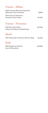#### *France - Rhône*

| 2020 Grenache Blend, M. Chapoutier,<br>Bellaruche, Côtes-du-Rhône | <b>R650</b>   |
|-------------------------------------------------------------------|---------------|
| 2017 Syrah, M. Chapoutier,<br>Deschants, Saint Joseph             | <b>R1 350</b> |
| <i><b>France - Provence</b></i>                                   |               |
| 2016 Mourvèdre Blend,                                             | <b>R2 350</b> |

|  | Château de Pibarnon, Bandol Rouge |  |
|--|-----------------------------------|--|
|  |                                   |  |

### *Spain*

| 2014 Tempranillo, Valenciso, Reserva, Rioja | <b>R1350</b> |
|---------------------------------------------|--------------|
|---------------------------------------------|--------------|

# *Italy*

| 2018 Sangiovese, Salvioni, | <b>R2850</b> |
|----------------------------|--------------|
| Rosso di Montalcino        |              |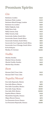## Premium Spirits

#### *Gin*

| Beefeater, London                      | <b>R40</b>  |
|----------------------------------------|-------------|
| Beefeater Pink, London                 | <b>R40</b>  |
| Beefeater Blood Orange, London         | <b>R40</b>  |
| Beefeater 24, London                   | <b>R50</b>  |
| Malfy Originale, Italy                 | <b>R45</b>  |
| Malfy Rosa, Italy                      | <b>R45</b>  |
| Malfy Limone, Italy                    | <b>R45</b>  |
| Malfy Arancia, Italy                   | <b>R45</b>  |
| Inverroche Amber, South Afric          | <b>R55</b>  |
| Inverroche Classic, South Africa       | <b>R55</b>  |
| Inverroche Verdant, South Africa       | <b>R55</b>  |
| Inverroche Coco Capensis, South Africa | <b>R55</b>  |
| Inverroche Coco L'Orange, South Africa | <b>R55</b>  |
| Ki No Bi Kyoto                         | <b>R85</b>  |
| Monkey 47, German                      | <b>R100</b> |
|                                        |             |

#### *Vodka*

| Absolut, Sweden         | R45        |  |
|-------------------------|------------|--|
| Absolut Citron, Sweden  | R45        |  |
| Absolut Vanilla. Sweden | R45        |  |
| Absolut Elyx, Sweden    | <b>R65</b> |  |

#### *Rum*

| Havana Club 3 Year, Cuba | <b>R42</b> |
|--------------------------|------------|
| Havana Club 7 Year, Cuba | <b>R42</b> |

### *Tequila/Mezcal*

| Don Julio Reposado, Mexico     | <b>R75</b>  |
|--------------------------------|-------------|
| Don Julio Blanco, Mexico       | <b>R95</b>  |
| Don Julio Crystalina, Mexico   | <b>R155</b> |
| Don Julio Anejo, Mexico        | <b>R190</b> |
| Don Julio 1942, Mexico         | <b>R500</b> |
| Espolon Blanco, Mexico         | <b>R48</b>  |
| Montelobos Espadin, Oaxaca     | <b>R75</b>  |
| Alipus Mezcal, Oaxaca          | <b>R75</b>  |
| Los Doszantes Joven, Oaxaca    | <b>R85</b>  |
| Los Doszantes Reposado, Oaxaca | <b>R100</b> |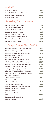#### *Cognac*

| Martell VS, France              | <b>R65</b>       |
|---------------------------------|------------------|
| Martell VSOP Red Barrel, France | <b>R80</b>       |
| Martell Cordon Bleu, France     | R <sub>265</sub> |
| Martell XO. France              | <b>R275</b>      |

#### *Bourbon/Rye/Tennessee*

| <b>Buffalo Trace, United States</b>    | <b>R40</b>       |
|----------------------------------------|------------------|
| Jack Daniels, United States            | <b>R40</b>       |
| Makers Mark, United States             | <b>R45</b>       |
| Sazerac Rye, United States             | <b>R55</b>       |
| <b>Bulleit Bourbon, United States</b>  | <b>R55</b>       |
| <b>Woodford Reserve, United States</b> | <b>R60</b>       |
| Woodford Double Oak, United States     | <b>R85</b>       |
| <b>Blantons, United States</b>         | R <sub>125</sub> |

#### *Whisky - Single Malt Scotch*

| Glenlivet Founders, Banffshire, Scotland | <b>R55</b>       |
|------------------------------------------|------------------|
| Glenlivet 12 Year, Banffshire, Scotland  | <b>R65</b>       |
| Glenlivet 15 Year, Banffshire, Scotland  | <b>R110</b>      |
| Glenlivet Nàdurra First Fill,            |                  |
| Banffshire, Scotland                     | R <sub>125</sub> |
| Glenlivet 18 Year, Banffshire, Scotland  | <b>R175</b>      |
| Glenlivet 21 Year, Banffshire, Scotland  | <b>R325</b>      |
| Glenlivet 25 Year, Banffshire, Scotland  | <b>R700</b>      |
| Ardbeg 10 Year, Argyll, Scotland         | <b>R85</b>       |
| Ardbeg An Oa, Argyll, Scotland           | <b>R105</b>      |
| Aberlour 12 Year, Strathspey, Scotland   | <b>R85</b>       |
| Aberlour A'bunadh, Strathspey, Scotland  | <b>R145</b>      |
| Glendronach 12 Year.                     |                  |
| Aberdeenshire, Scotland                  | <b>R85</b>       |
| Glendronach 15 Year,                     |                  |
| Aberdeenshire, Scotland                  | <b>R110</b>      |
| Talisker, Carbost, Scotland              | <b>R95</b>       |
| Lagavulin 16 Year, Lagavulin, Scotland   | <b>R135</b>      |
| BruichLaddich Port Charlotte,            |                  |
| Rhinns, Scotland                         | <b>R135</b>      |
| BruichLaddich Octomore,                  |                  |
| Rhinns, Scotland                         | R <sub>265</sub> |
| BruichLaddich, Black Art 8,              |                  |
| Rhinns, Scotland                         | R495             |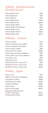#### *Whisky - Blended Scotch - Blended Scotch*

| Chivas Regal 12 Year        | <b>R50</b>  |
|-----------------------------|-------------|
| Chivas Regal Extra          | <b>R55</b>  |
| Chivas Regal XV             | <b>R75</b>  |
| Chivas Regal 18 Year        | <b>R115</b> |
| Chivas Regal 25 Year        | <b>R625</b> |
| Johnnie Walker Black        | <b>R45</b>  |
| Johnnie Walker Double Black | <b>R50</b>  |
| Johnnie Walker Gold         | <b>R85</b>  |
| Johnnie Walker 18 Year      | <b>R135</b> |
| Johnnie Walker Blue         | <b>R275</b> |

#### *Whiskey - Ireland*

| Jameson, Dublin                     | <b>R45</b>       |
|-------------------------------------|------------------|
| Jameson Caskmate Stout, Dublin      | <b>R45</b>       |
| Jameson Caskmate IPA, Dublin        | <b>R45</b>       |
| Jameson Select, Dublin              | <b>R55</b>       |
| Jameson 18 Year, Dublin             | <b>R180</b>      |
| Powers Signature Release, Midleton  | <b>R55</b>       |
| Powers Johns Lane 12 Year, Midleton | <b>R95</b>       |
| Green Spot, Cork                    | <b>R70</b>       |
| Yellow Spot, Cork                   | <b>R105</b>      |
| Red Breast 12 Year, County Cork     | <b>R95</b>       |
| Red Breast 15 Year, County Cork     | <b>R135</b>      |
| Red Breast 21 Year, County Cork     | R <sub>255</sub> |
|                                     |                  |

#### *Whisky - Japan*

| Suntory Toki                    | <b>R45</b>       |
|---------------------------------|------------------|
| Nikka From the Barrel, Hokkaido | <b>R150</b>      |
| Yamazakura, Tohoku              | <b>R185</b>      |
| Hibiki Harmony, Osaka           | <b>R200</b>      |
| Kamiki Dark Wood                | R <sub>265</sub> |
| Kaiyō Peated                    | <b>R330</b>      |
| Kaiyō Cask Strength             | <b>R340</b>      |
| Hakushu Distillers Reserve,     |                  |
| Southern Japan Alps             | <b>R340</b>      |
| The Kurayoshi 18 Year           | <b>R660</b>      |